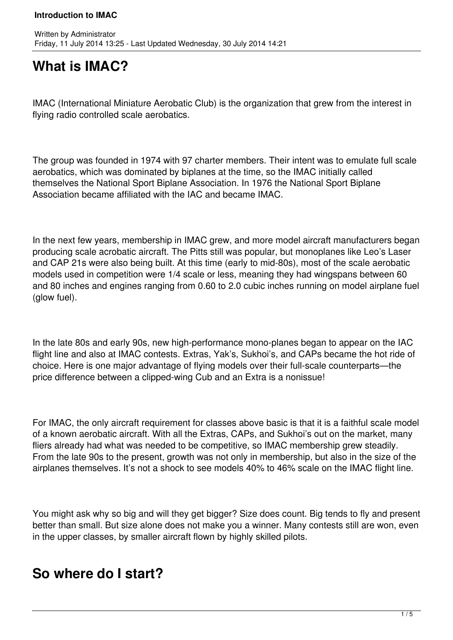# **What is IMAC?**

IMAC (International Miniature Aerobatic Club) is the organization that grew from the interest in flying radio controlled scale aerobatics.

The group was founded in 1974 with 97 charter members. Their intent was to emulate full scale aerobatics, which was dominated by biplanes at the time, so the IMAC initially called themselves the National Sport Biplane Association. In 1976 the National Sport Biplane Association became affiliated with the IAC and became IMAC.

In the next few years, membership in IMAC grew, and more model aircraft manufacturers began producing scale acrobatic aircraft. The Pitts still was popular, but monoplanes like Leo's Laser and CAP 21s were also being built. At this time (early to mid-80s), most of the scale aerobatic models used in competition were 1/4 scale or less, meaning they had wingspans between 60 and 80 inches and engines ranging from 0.60 to 2.0 cubic inches running on model airplane fuel (glow fuel).

In the late 80s and early 90s, new high-performance mono-planes began to appear on the IAC flight line and also at IMAC contests. Extras, Yak's, Sukhoi's, and CAPs became the hot ride of choice. Here is one major advantage of flying models over their full-scale counterparts—the price difference between a clipped-wing Cub and an Extra is a nonissue!

For IMAC, the only aircraft requirement for classes above basic is that it is a faithful scale model of a known aerobatic aircraft. With all the Extras, CAPs, and Sukhoi's out on the market, many fliers already had what was needed to be competitive, so IMAC membership grew steadily. From the late 90s to the present, growth was not only in membership, but also in the size of the airplanes themselves. It's not a shock to see models 40% to 46% scale on the IMAC flight line.

You might ask why so big and will they get bigger? Size does count. Big tends to fly and present better than small. But size alone does not make you a winner. Many contests still are won, even in the upper classes, by smaller aircraft flown by highly skilled pilots.

### **So where do I start?**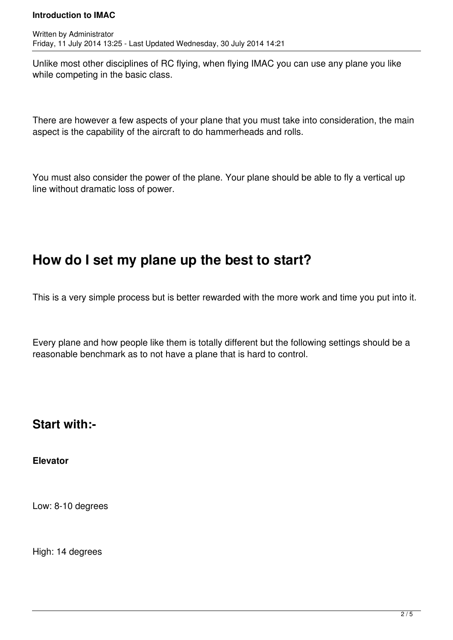Unlike most other disciplines of RC flying, when flying IMAC you can use any plane you like while competing in the basic class.

There are however a few aspects of your plane that you must take into consideration, the main aspect is the capability of the aircraft to do hammerheads and rolls.

You must also consider the power of the plane. Your plane should be able to fly a vertical up line without dramatic loss of power.

## **How do I set my plane up the best to start?**

This is a very simple process but is better rewarded with the more work and time you put into it.

Every plane and how people like them is totally different but the following settings should be a reasonable benchmark as to not have a plane that is hard to control.

### **Start with:-**

**Elevator**

Low: 8-10 degrees

High: 14 degrees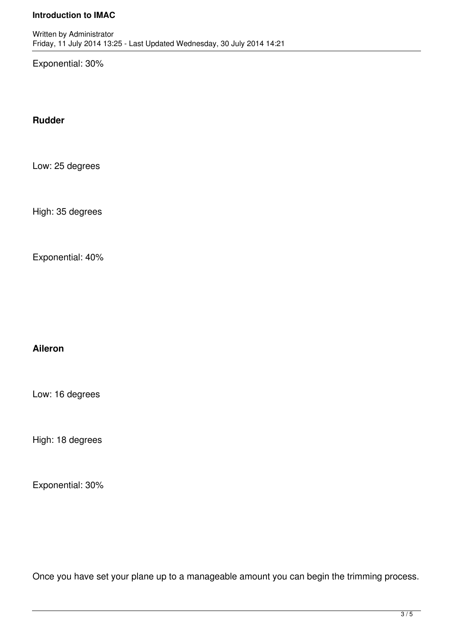Exponential: 30%

#### **Rudder**

Low: 25 degrees

High: 35 degrees

Exponential: 40%

#### **Aileron**

Low: 16 degrees

High: 18 degrees

Exponential: 30%

Once you have set your plane up to a manageable amount you can begin the trimming process.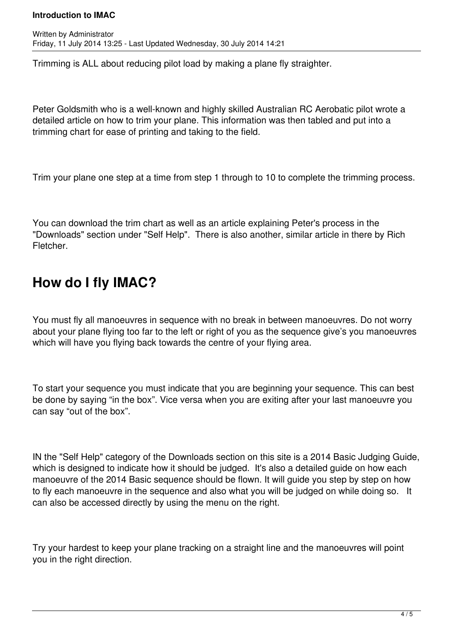Trimming is ALL about reducing pilot load by making a plane fly straighter.

Peter Goldsmith who is a well-known and highly skilled Australian RC Aerobatic pilot wrote a detailed article on how to trim your plane. This information was then tabled and put into a trimming chart for ease of printing and taking to the field.

Trim your plane one step at a time from step 1 through to 10 to complete the trimming process.

You can download the trim chart as well as an article explaining Peter's process in the "Downloads" section under "Self Help". There is also another, similar article in there by Rich Fletcher.

## **How do I fly IMAC?**

You must fly all manoeuvres in sequence with no break in between manoeuvres. Do not worry about your plane flying too far to the left or right of you as the sequence give's you manoeuvres which will have you flying back towards the centre of your flying area.

To start your sequence you must indicate that you are beginning your sequence. This can best be done by saying "in the box". Vice versa when you are exiting after your last manoeuvre you can say "out of the box".

IN the "Self Help" category of the Downloads section on this site is a 2014 Basic Judging Guide, which is designed to indicate how it should be judged. It's also a detailed guide on how each manoeuvre of the 2014 Basic sequence should be flown. It will guide you step by step on how to fly each manoeuvre in the sequence and also what you will be judged on while doing so. It can also be accessed directly by using the menu on the right.

Try your hardest to keep your plane tracking on a straight line and the manoeuvres will point you in the right direction.